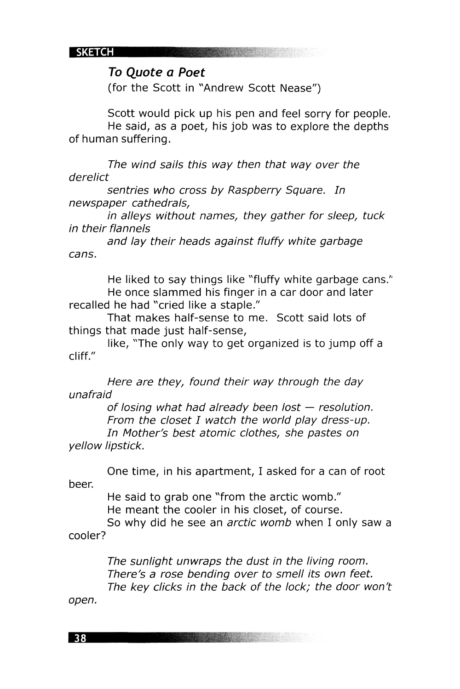**SKETCH** 

**Comment of the Comment of the Comment** 

## **To Quote a Poet**

(for the Scott in "Andrew Scott Nease")

Scott would pick up his pen and feel sorry for people. He said, as a poet, his job was to explore the depths of human suffering.

The wind sails this way then that way over the derelict

sentries who cross by Raspberry Square. In newspaper cathedrals,

in alleys without names, they gather for sleep, tuck in their flannels

and lay their heads against fluffy white garbage cans.

He liked to say things like "fluffy white garbage cans." He once slammed his finger in a car door and later recalled he had "cried like a staple."

That makes half-sense to me. Scott said lots of things that made just half-sense,

like, "The only way to get organized is to jump off a cliff."

Here are they, found their way through the day unafraid

of losing what had already been lost — resolution. From the closet I watch the world play dress-up. In Mother's best atomic clothes, she pastes on yellow lipstick.

One time, in his apartment, I asked for a can of root beer.

He said to grab one "from the arctic womb." He meant the cooler in his closet, of course.

So why did he see an *arctic womb* when I only saw a cooler?

> The sunlight unwraps the dust in the living room. There's a rose bending over to smell its own feet. The key clicks in the back of the lock; the door won't

open.

38